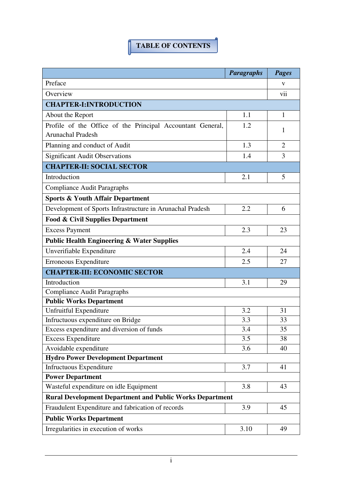## **TABLE OF CONTENTS**

|                                                                 | <b>Paragraphs</b> | <b>Pages</b>   |  |
|-----------------------------------------------------------------|-------------------|----------------|--|
| Preface                                                         |                   | V              |  |
| Overview                                                        |                   | vii            |  |
| <b>CHAPTER-I:INTRODUCTION</b>                                   |                   |                |  |
| About the Report                                                | 1.1               | $\mathbf{1}$   |  |
| Profile of the Office of the Principal Accountant General,      | 1.2               |                |  |
| <b>Arunachal Pradesh</b>                                        |                   | 1              |  |
| Planning and conduct of Audit                                   | 1.3               | $\overline{2}$ |  |
| <b>Significant Audit Observations</b>                           | 1.4               | 3              |  |
| <b>CHAPTER-II: SOCIAL SECTOR</b>                                |                   |                |  |
| Introduction                                                    | 2.1               | 5              |  |
| <b>Compliance Audit Paragraphs</b>                              |                   |                |  |
| <b>Sports &amp; Youth Affair Department</b>                     |                   |                |  |
| Development of Sports Infrastructure in Arunachal Pradesh       | 2.2               | 6              |  |
| <b>Food &amp; Civil Supplies Department</b>                     |                   |                |  |
| <b>Excess Payment</b>                                           | 2.3               | 23             |  |
| <b>Public Health Engineering &amp; Water Supplies</b>           |                   |                |  |
| Unverifiable Expenditure                                        | 2.4               | 24             |  |
| Erroneous Expenditure                                           | 2.5               | 27             |  |
| <b>CHAPTER-III: ECONOMIC SECTOR</b>                             |                   |                |  |
| Introduction                                                    | 3.1               | 29             |  |
| <b>Compliance Audit Paragraphs</b>                              |                   |                |  |
| <b>Public Works Department</b>                                  |                   |                |  |
| Unfruitful Expenditure                                          | 3.2               | 31             |  |
| Infructuous expenditure on Bridge                               | 3.3               | 33             |  |
| Excess expenditure and diversion of funds                       | 3.4               | 35             |  |
| <b>Excess Expenditure</b>                                       | 3.5               | 38             |  |
| Avoidable expenditure                                           | 3.6               | 40             |  |
| <b>Hydro Power Development Department</b>                       |                   |                |  |
| Infructuous Expenditure                                         | 3.7               | 41             |  |
| <b>Power Department</b>                                         |                   |                |  |
| Wasteful expenditure on idle Equipment                          | 3.8               | 43             |  |
| <b>Rural Development Department and Public Works Department</b> |                   |                |  |
| Fraudulent Expenditure and fabrication of records               | 3.9               | 45             |  |
| <b>Public Works Department</b>                                  |                   |                |  |
| Irregularities in execution of works                            | 3.10              | 49             |  |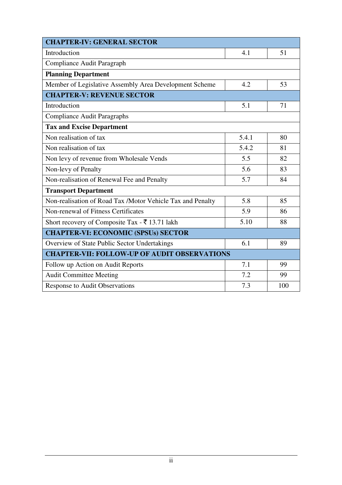| <b>CHAPTER-IV: GENERAL SECTOR</b>                          |       |     |  |  |
|------------------------------------------------------------|-------|-----|--|--|
| Introduction                                               | 4.1   | 51  |  |  |
| Compliance Audit Paragraph                                 |       |     |  |  |
| <b>Planning Department</b>                                 |       |     |  |  |
| Member of Legislative Assembly Area Development Scheme     | 4.2   | 53  |  |  |
| <b>CHAPTER-V: REVENUE SECTOR</b>                           |       |     |  |  |
| Introduction                                               | 5.1   | 71  |  |  |
| <b>Compliance Audit Paragraphs</b>                         |       |     |  |  |
| <b>Tax and Excise Department</b>                           |       |     |  |  |
| Non realisation of tax                                     | 5.4.1 | 80  |  |  |
| Non realisation of tax                                     | 5.4.2 | 81  |  |  |
| Non levy of revenue from Wholesale Vends                   | 5.5   | 82  |  |  |
| Non-levy of Penalty                                        | 5.6   | 83  |  |  |
| Non-realisation of Renewal Fee and Penalty                 | 5.7   | 84  |  |  |
| <b>Transport Department</b>                                |       |     |  |  |
| Non-realisation of Road Tax /Motor Vehicle Tax and Penalty | 5.8   | 85  |  |  |
| Non-renewal of Fitness Certificates                        | 5.9   | 86  |  |  |
| Short recovery of Composite Tax - ₹ 13.71 lakh             | 5.10  | 88  |  |  |
| <b>CHAPTER-VI: ECONOMIC (SPSUs) SECTOR</b>                 |       |     |  |  |
| Overview of State Public Sector Undertakings               | 6.1   | 89  |  |  |
| <b>CHAPTER-VII: FOLLOW-UP OF AUDIT OBSERVATIONS</b>        |       |     |  |  |
| Follow up Action on Audit Reports                          | 7.1   | 99  |  |  |
| <b>Audit Committee Meeting</b>                             | 7.2   | 99  |  |  |
| <b>Response to Audit Observations</b>                      | 7.3   | 100 |  |  |